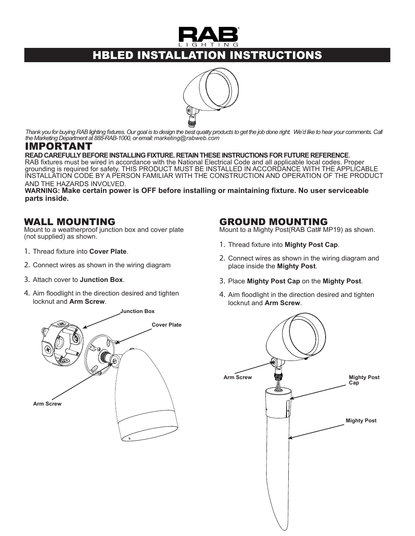

# HBLED INSTALLATION INSTRUCTIONS



*Thank you for buying RAB lighting fixtures. Our goal is to design the best quality products to get the job done right. We'd like to hear your comments. Call the Marketing Department at 888-RAB-1000, or email: marketing@rabweb.com*

# IMPORTANT<br>READ CAREFULLY BEFORE INSTALLING FIXTURE. RETAIN THESE INSTRUCTIONS FOR FUTURE REFERENCE.

RAB fixtures must be wired in accordance with the National Electrical Code and all applicable local codes. Proper grounding is required for safety. THIS PRODUCT MUST BE INSTALLED IN ACCORDANCE WITH THE APPLICABLE INSTALLATION CODE BY A PERSON FAMILIAR WITH THE CONSTRUCTION AND OPERATION OF THE PRODUCT AND THE HAZARDS INVOLVED.

**WARNING: Make certain power is OFF before installing or maintaining fixture. No user serviceable parts inside.**

#### WALL MOUNTING

Mount to a weatherproof junction box and cover plate (not supplied) as shown.

- 1. Thread fixture into **Cover Plate**.
- 2. Connect wires as shown in the wiring diagram
- 3. Attach cover to **Junction Box**.
- 4. Aim floodlight in the direction desired and tighten locknut and **Arm Screw**.

#### GROUND MOUNTING

Mount to a Mighty Post(RAB Cat# MP19) as shown.

- 1. Thread fixture into **Mighty Post Cap**.
- 2. Connect wires as shown in the wiring diagram and place inside the **Mighty Post**.
- 3. Place **Mighty Post Cap** on the **Mighty Post**.
- 4. Aim floodlight in the direction desired and tighten locknut and **Arm Screw**.